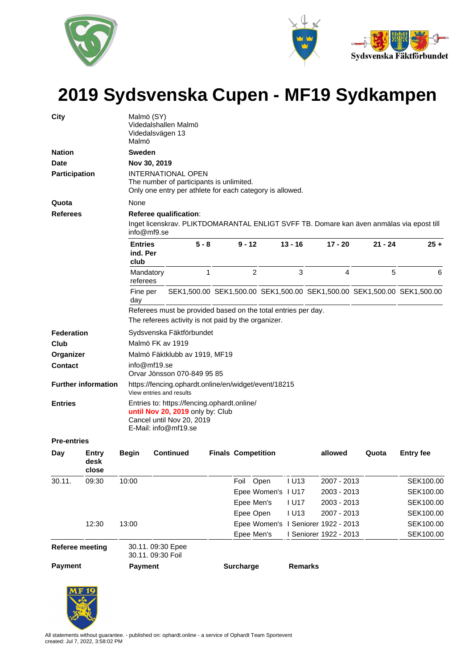



## **2019 Sydsvenska Cupen - MF19 Sydkampen**

| 12:30<br><b>Referee meeting</b><br><b>Payment</b> | 13:00<br><b>Payment</b>                                       | 30.11. 09:30 Epee<br>30.11. 09:30 Foil                                                                  |                                                                                                                                                    |                                                                                                                                                     | Epee Open<br>Epee Men's<br><b>Surcharge</b>             |                                                                           | <b>IU13</b><br><b>Remarks</b>                       | 2007 - 2013<br>Epee Women's I Seniorer 1922 - 2013<br>I Seniorer 1922 - 2013                                                  |   |           | SEK100.00<br>SEK100.00<br>SEK100.00                                     |  |  |  |
|---------------------------------------------------|---------------------------------------------------------------|---------------------------------------------------------------------------------------------------------|----------------------------------------------------------------------------------------------------------------------------------------------------|-----------------------------------------------------------------------------------------------------------------------------------------------------|---------------------------------------------------------|---------------------------------------------------------------------------|-----------------------------------------------------|-------------------------------------------------------------------------------------------------------------------------------|---|-----------|-------------------------------------------------------------------------|--|--|--|
|                                                   |                                                               |                                                                                                         |                                                                                                                                                    |                                                                                                                                                     |                                                         |                                                                           |                                                     |                                                                                                                               |   |           |                                                                         |  |  |  |
|                                                   |                                                               |                                                                                                         |                                                                                                                                                    |                                                                                                                                                     |                                                         |                                                                           |                                                     |                                                                                                                               |   |           |                                                                         |  |  |  |
|                                                   |                                                               |                                                                                                         |                                                                                                                                                    |                                                                                                                                                     |                                                         |                                                                           |                                                     |                                                                                                                               |   |           |                                                                         |  |  |  |
|                                                   |                                                               |                                                                                                         |                                                                                                                                                    |                                                                                                                                                     |                                                         |                                                                           |                                                     |                                                                                                                               |   |           |                                                                         |  |  |  |
|                                                   |                                                               |                                                                                                         |                                                                                                                                                    |                                                                                                                                                     | Epee Men's                                              |                                                                           | <b>IU17</b>                                         | 2003 - 2013                                                                                                                   |   |           | SEK100.00                                                               |  |  |  |
|                                                   |                                                               |                                                                                                         |                                                                                                                                                    |                                                                                                                                                     |                                                         | Epee Women's I U17                                                        |                                                     | 2003 - 2013                                                                                                                   |   |           | SEK100.00                                                               |  |  |  |
| 09:30                                             | 10:00                                                         |                                                                                                         |                                                                                                                                                    |                                                                                                                                                     | Foil Open                                               |                                                                           | <b>IU13</b>                                         | 2007 - 2013                                                                                                                   |   |           | SEK100.00                                                               |  |  |  |
| Entry<br>desk<br>close                            | Begin                                                         | <b>Continued</b>                                                                                        |                                                                                                                                                    |                                                                                                                                                     | <b>Finals Competition</b>                               |                                                                           |                                                     | allowed                                                                                                                       |   | Quota     | <b>Entry fee</b>                                                        |  |  |  |
| <b>Pre-entries</b>                                |                                                               |                                                                                                         |                                                                                                                                                    |                                                                                                                                                     |                                                         |                                                                           |                                                     |                                                                                                                               |   |           |                                                                         |  |  |  |
|                                                   |                                                               |                                                                                                         |                                                                                                                                                    |                                                                                                                                                     |                                                         |                                                                           |                                                     |                                                                                                                               |   |           |                                                                         |  |  |  |
| <b>Entries</b>                                    |                                                               | Entries to: https://fencing.ophardt.online/<br>until Nov 20, 2019 only by: Club                         |                                                                                                                                                    |                                                                                                                                                     |                                                         |                                                                           |                                                     |                                                                                                                               |   |           |                                                                         |  |  |  |
| <b>Further information</b>                        |                                                               |                                                                                                         |                                                                                                                                                    |                                                                                                                                                     |                                                         |                                                                           |                                                     |                                                                                                                               |   |           |                                                                         |  |  |  |
|                                                   |                                                               |                                                                                                         |                                                                                                                                                    |                                                                                                                                                     |                                                         |                                                                           |                                                     |                                                                                                                               |   |           |                                                                         |  |  |  |
|                                                   |                                                               |                                                                                                         |                                                                                                                                                    |                                                                                                                                                     |                                                         |                                                                           |                                                     |                                                                                                                               |   |           |                                                                         |  |  |  |
|                                                   |                                                               |                                                                                                         |                                                                                                                                                    |                                                                                                                                                     |                                                         |                                                                           |                                                     |                                                                                                                               |   |           |                                                                         |  |  |  |
|                                                   |                                                               |                                                                                                         |                                                                                                                                                    |                                                                                                                                                     |                                                         |                                                                           |                                                     |                                                                                                                               |   |           |                                                                         |  |  |  |
|                                                   |                                                               |                                                                                                         |                                                                                                                                                    |                                                                                                                                                     |                                                         |                                                                           |                                                     |                                                                                                                               |   |           |                                                                         |  |  |  |
|                                                   | Referees must be provided based on the total entries per day. |                                                                                                         |                                                                                                                                                    |                                                                                                                                                     |                                                         |                                                                           |                                                     |                                                                                                                               |   |           |                                                                         |  |  |  |
|                                                   |                                                               |                                                                                                         |                                                                                                                                                    |                                                                                                                                                     |                                                         |                                                                           |                                                     |                                                                                                                               |   |           |                                                                         |  |  |  |
|                                                   |                                                               |                                                                                                         | 1                                                                                                                                                  |                                                                                                                                                     | $\overline{2}$                                          |                                                                           | 3                                                   |                                                                                                                               | 4 | 5         | 6                                                                       |  |  |  |
|                                                   | club                                                          |                                                                                                         | $5 - 8$                                                                                                                                            |                                                                                                                                                     | $9 - 12$                                                |                                                                           |                                                     |                                                                                                                               |   | $21 - 24$ | $25 +$                                                                  |  |  |  |
| <b>Referees</b>                                   |                                                               | Inget licenskrav. PLIKTDOMARANTAL ENLIGT SVFF TB. Domare kan även anmälas via epost till<br>info@mf9.se |                                                                                                                                                    |                                                                                                                                                     |                                                         |                                                                           |                                                     |                                                                                                                               |   |           |                                                                         |  |  |  |
|                                                   |                                                               |                                                                                                         |                                                                                                                                                    |                                                                                                                                                     |                                                         |                                                                           |                                                     |                                                                                                                               |   |           |                                                                         |  |  |  |
|                                                   |                                                               |                                                                                                         |                                                                                                                                                    |                                                                                                                                                     |                                                         |                                                                           |                                                     |                                                                                                                               |   |           |                                                                         |  |  |  |
| Participation                                     |                                                               | <b>INTERNATIONAL OPEN</b>                                                                               |                                                                                                                                                    |                                                                                                                                                     |                                                         |                                                                           |                                                     |                                                                                                                               |   |           |                                                                         |  |  |  |
|                                                   |                                                               |                                                                                                         |                                                                                                                                                    |                                                                                                                                                     |                                                         |                                                                           |                                                     |                                                                                                                               |   |           |                                                                         |  |  |  |
|                                                   |                                                               |                                                                                                         |                                                                                                                                                    |                                                                                                                                                     |                                                         |                                                                           |                                                     |                                                                                                                               |   |           |                                                                         |  |  |  |
|                                                   | Malmö                                                         |                                                                                                         |                                                                                                                                                    |                                                                                                                                                     |                                                         |                                                                           |                                                     |                                                                                                                               |   |           |                                                                         |  |  |  |
|                                                   | Federation<br>Organizer                                       | None<br>day                                                                                             | Malmö (SY)<br>Videdalsvägen 13<br><b>Sweden</b><br>Nov 30, 2019<br><b>Entries</b><br>ind. Per<br>Mandatory<br>referees<br>Fine per<br>info@mf19.se | Videdalshallen Malmö<br>Referee qualification:<br>Malmö FK av 1919<br>View entries and results<br>Cancel until Nov 20, 2019<br>E-Mail: info@mf19.se | Sydsvenska Fäktförbundet<br>Orvar Jönsson 070-849 95 85 | The number of participants is unlimited.<br>Malmö Fäktklubb av 1919, MF19 | The referees activity is not paid by the organizer. | Only one entry per athlete for each category is allowed.<br>$13 - 16$<br>https://fencing.ophardt.online/en/widget/event/18215 |   | $17 - 20$ | SEK1,500.00 SEK1,500.00 SEK1,500.00 SEK1,500.00 SEK1,500.00 SEK1,500.00 |  |  |  |